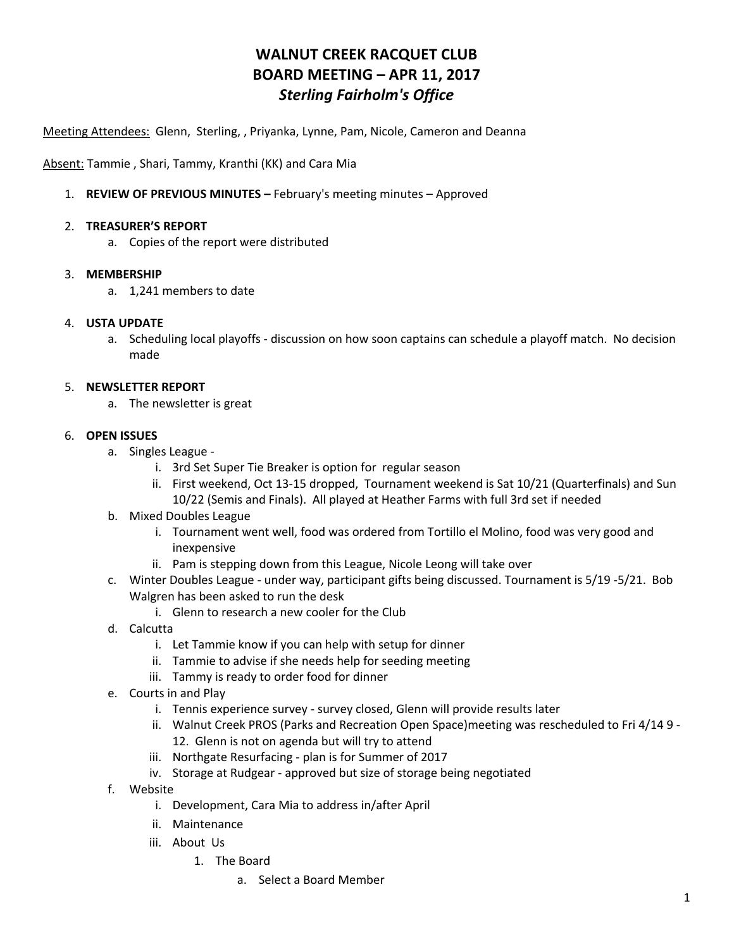# **WALNUT CREEK RACQUET CLUB BOARD MEETING – APR 11, 2017** *Sterling Fairholm's Office*

Meeting Attendees: Glenn, Sterling, , Priyanka, Lynne, Pam, Nicole, Cameron and Deanna

Absent: Tammie , Shari, Tammy, Kranthi (KK) and Cara Mia

1. **REVIEW OF PREVIOUS MINUTES –** February's meeting minutes – Approved

#### 2. **TREASURER'S REPORT**

a. Copies of the report were distributed

### 3. **MEMBERSHIP**

a. 1,241 members to date

### 4. **USTA UPDATE**

a. Scheduling local playoffs - discussion on how soon captains can schedule a playoff match. No decision made

### 5. **NEWSLETTER REPORT**

a. The newsletter is great

## 6. **OPEN ISSUES**

- a. Singles League
	- i. 3rd Set Super Tie Breaker is option for regular season
	- ii. First weekend, Oct 13-15 dropped, Tournament weekend is Sat 10/21 (Quarterfinals) and Sun 10/22 (Semis and Finals). All played at Heather Farms with full 3rd set if needed
- b. Mixed Doubles League
	- i. Tournament went well, food was ordered from Tortillo el Molino, food was very good and inexpensive
	- ii. Pam is stepping down from this League, Nicole Leong will take over
- c. Winter Doubles League under way, participant gifts being discussed. Tournament is 5/19 -5/21. Bob Walgren has been asked to run the desk
	- i. Glenn to research a new cooler for the Club
- d. Calcutta
	- i. Let Tammie know if you can help with setup for dinner
	- ii. Tammie to advise if she needs help for seeding meeting
	- iii. Tammy is ready to order food for dinner
- e. Courts in and Play
	- i. Tennis experience survey survey closed, Glenn will provide results later
	- ii. Walnut Creek PROS (Parks and Recreation Open Space)meeting was rescheduled to Fri 4/14 9 12. Glenn is not on agenda but will try to attend
	- iii. Northgate Resurfacing plan is for Summer of 2017
	- iv. Storage at Rudgear approved but size of storage being negotiated
- f. Website
	- i. Development, Cara Mia to address in/after April
	- ii. Maintenance
	- iii. About Us
		- 1. The Board
			- a. Select a Board Member